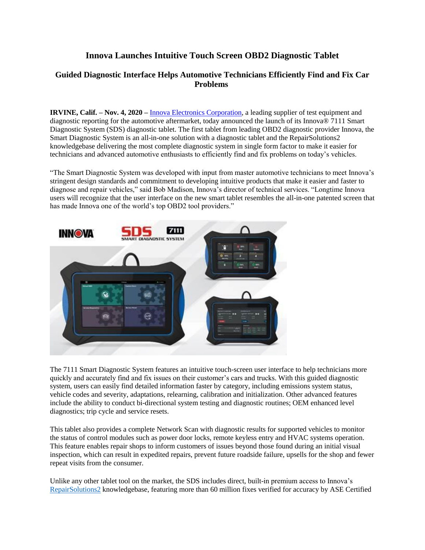## **Innova Launches Intuitive Touch Screen OBD2 Diagnostic Tablet**

## **Guided Diagnostic Interface Helps Automotive Technicians Efficiently Find and Fix Car Problems**

**IRVINE, Calif. – Nov. 4, 2020 –** Innova [Electronics Corporation,](http://www.innova.com/) a leading supplier of test equipment and diagnostic reporting for the automotive aftermarket, today announced the launch of its Innova® 7111 Smart Diagnostic System (SDS) diagnostic tablet. The first tablet from leading OBD2 diagnostic provider Innova, the Smart Diagnostic System is an all-in-one solution with a diagnostic tablet and the RepairSolutions2 knowledgebase delivering the most complete diagnostic system in single form factor to make it easier for technicians and advanced automotive enthusiasts to efficiently find and fix problems on today's vehicles.

"The Smart Diagnostic System was developed with input from master automotive technicians to meet Innova's stringent design standards and commitment to developing intuitive products that make it easier and faster to diagnose and repair vehicles," said Bob Madison, Innova's director of technical services. "Longtime Innova users will recognize that the user interface on the new smart tablet resembles the all-in-one patented screen that has made Innova one of the world's top OBD2 tool providers."



The 7111 Smart Diagnostic System features an intuitive touch-screen user interface to help technicians more quickly and accurately find and fix issues on their customer's cars and trucks. With this guided diagnostic system, users can easily find detailed information faster by category, including emissions system status, vehicle codes and severity, adaptations, relearning, calibration and initialization. Other advanced features include the ability to conduct bi-directional system testing and diagnostic routines; OEM enhanced level diagnostics; trip cycle and service resets.

This tablet also provides a complete Network Scan with diagnostic results for supported vehicles to monitor the status of control modules such as power door locks, remote keyless entry and HVAC systems operation. This feature enables repair shops to inform customers of issues beyond those found during an initial visual inspection, which can result in expedited repairs, prevent future roadside failure, upsells for the shop and fewer repeat visits from the consumer.

Unlike any other tablet tool on the market, the SDS includes direct, built-in premium access to Innova's [RepairSolutions2](https://www.innova.com/home/repairsolutions-2) knowledgebase, featuring more than 60 million fixes verified for accuracy by ASE Certified